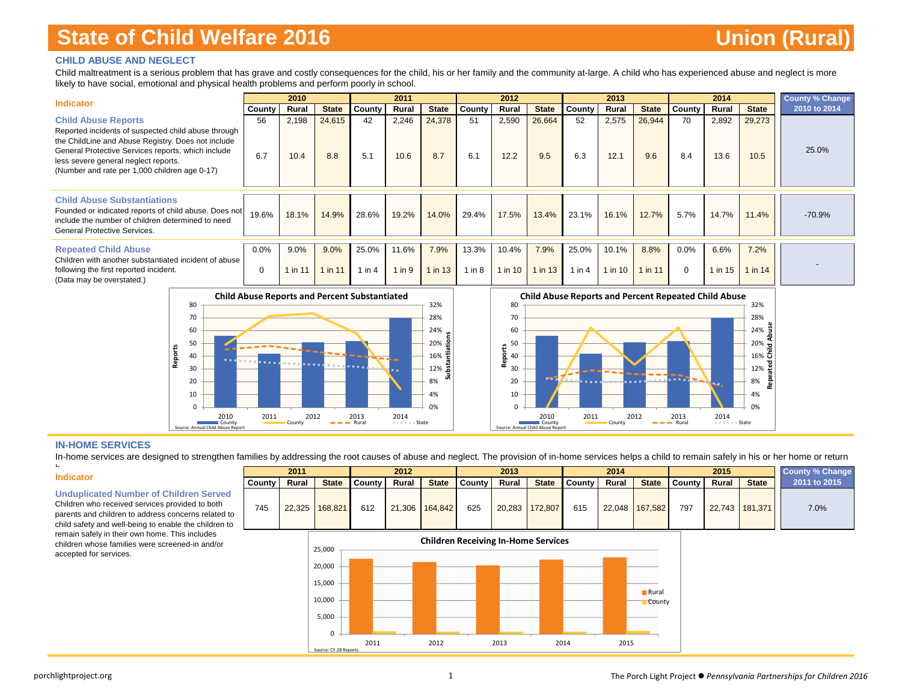### **CHILD ABUSE AND NEGLECT**

Child maltreatment is a serious problem that has grave and costly consequences for the child, his or her family and the community at-large. A child who has experienced abuse and neglect is more likely to have social, emotional and physical health problems and perform poorly in school.

| <b>Indicator</b>                                                                                                                                                                                                                                                                       |                     | 2010            |                  |                     | 2011                |                 |                     | 2012             |                   |                     | 2013             |                   |                     | 2014            |                   | <b>County % Change</b> |
|----------------------------------------------------------------------------------------------------------------------------------------------------------------------------------------------------------------------------------------------------------------------------------------|---------------------|-----------------|------------------|---------------------|---------------------|-----------------|---------------------|------------------|-------------------|---------------------|------------------|-------------------|---------------------|-----------------|-------------------|------------------------|
|                                                                                                                                                                                                                                                                                        | County              | Rural           | <b>State</b>     | County              | Rural               | <b>State</b>    | County              | Rural            | <b>State</b>      | County              | Rural            | <b>State</b>      | County              | Rural           | <b>State</b>      | 2010 to 2014           |
| <b>Child Abuse Reports</b><br>Reported incidents of suspected child abuse through<br>the ChildLine and Abuse Registry. Does not include<br>General Protective Services reports, which include<br>less severe general neglect reports.<br>(Number and rate per 1,000 children age 0-17) | 56<br>6.7           | 2,198<br>10.4   | 24,615<br>8.8    | 42<br>5.1           | 2,246<br>10.6       | 24,378<br>8.7   | 51<br>6.1           | 2,590<br>12.2    | 26,664<br>9.5     | 52<br>6.3           | 2,575<br>12.1    | 26,944<br>9.6     | 70<br>8.4           | 2,892<br>13.6   | 29,273<br>10.5    | 25.0%                  |
| <b>Child Abuse Substantiations</b><br>Founded or indicated reports of child abuse. Does not<br>include the number of children determined to need<br><b>General Protective Services.</b>                                                                                                | 19.6%               | 18.1%           | 14.9%            | 28.6%               | 19.2%               | 14.0%           | 29.4%               | 17.5%            | 13.4%             | 23.1%               | 16.1%            | 12.7%             | 5.7%                | 14.7%           | 11.4%             | $-70.9%$               |
| <b>Repeated Child Abuse</b><br>Children with another substantiated incident of abuse<br>following the first reported incident.<br>(Data may be overstated.)                                                                                                                            | $0.0\%$<br>$\Omega$ | 9.0%<br>1 in 11 | 9.0%<br>$\ln 11$ | 25.0%<br>$1$ in $4$ | 11.6%<br>$1$ in $9$ | 7.9%<br>1 in 13 | 13.3%<br>$1$ in $8$ | 10.4%<br>1 in 10 | 7.9%<br>$1$ in 13 | 25.0%<br>$1$ in $4$ | 10.1%<br>1 in 10 | 8.8%<br>$1$ in 11 | $0.0\%$<br>$\Omega$ | 6.6%<br>1 in 15 | 7.2%<br>1 in $14$ |                        |





#### **IN-HOME SERVICES**

In-home services are designed to strengthen families by addressing the root causes of abuse and neglect. The provision of in-home services helps a child to remain safely in his or her home or return

**Substantiations**

꾿

اة<br>فا

#### **Indicator**

h

**Unduplicated Number of Children Served**

child safety and well-being to enable the children to remain safely in their own home. This includes children whose families were screened-in and/or accepted for services.



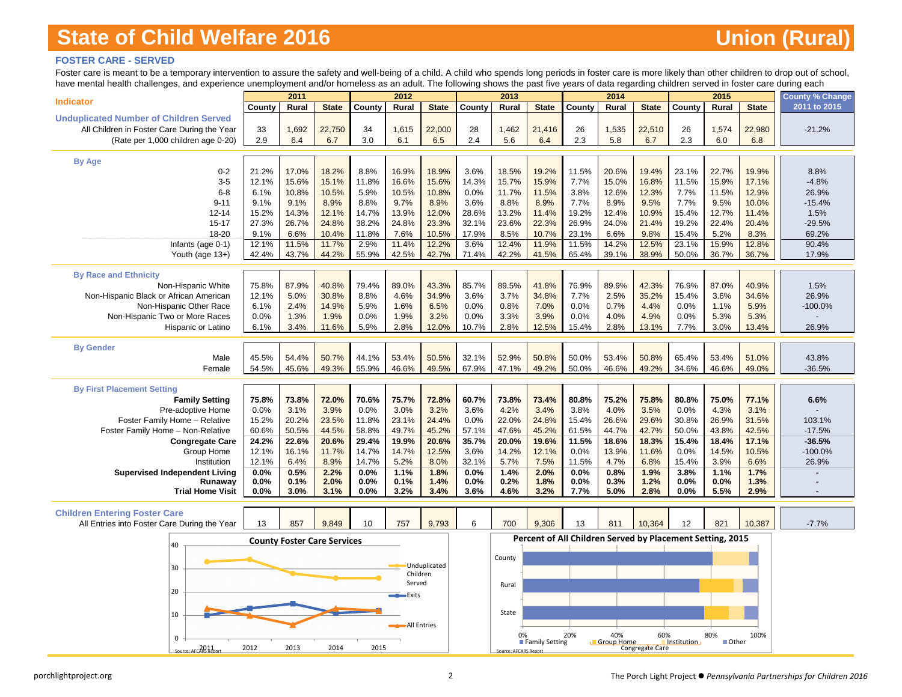### **FOSTER CARE - SERVED**

Foster care is meant to be a temporary intervention to assure the safety and well-being of a child. A child who spends long periods in foster care is more likely than other children to drop out of school, have mental health challenges, and experience unemployment and/or homeless as a adult. The following shows the past five years of data regarding children served in foster care during each

| nave mental nearing challenges, and experience unemployment and/or nomeless as an addit. The following shows the past five years or data regarding children served in foster care during each |               | 2011           |                                    |               | 2012               |                |               | 2013                  |                |                                                           | 2014              |                 |               | 2015           |                | <b>County % Change</b> |
|-----------------------------------------------------------------------------------------------------------------------------------------------------------------------------------------------|---------------|----------------|------------------------------------|---------------|--------------------|----------------|---------------|-----------------------|----------------|-----------------------------------------------------------|-------------------|-----------------|---------------|----------------|----------------|------------------------|
| <b>Indicator</b>                                                                                                                                                                              | County        | Rural          | <b>State</b>                       | County        | Rural              | <b>State</b>   | County        | Rural                 | <b>State</b>   | County                                                    | Rural             | <b>State</b>    | County        | Rural          | <b>State</b>   | 2011 to 2015           |
| <b>Unduplicated Number of Children Served</b>                                                                                                                                                 |               |                |                                    |               |                    |                |               |                       |                |                                                           |                   |                 |               |                |                |                        |
| All Children in Foster Care During the Year                                                                                                                                                   | 33            | 1,692          | 22,750                             | 34            | 1,615              | 22,000         | 28            | 1,462                 | 21,416         | 26                                                        | 1,535             | 22,510          | 26            | 1,574          | 22,980         | $-21.2%$               |
| (Rate per 1,000 children age 0-20)                                                                                                                                                            | 2.9           | 6.4            | 6.7                                | 3.0           | 6.1                | 6.5            | 2.4           | 5.6                   | 6.4            | 2.3                                                       | 5.8               | 6.7             | 2.3           | 6.0            | 6.8            |                        |
|                                                                                                                                                                                               |               |                |                                    |               |                    |                |               |                       |                |                                                           |                   |                 |               |                |                |                        |
| <b>By Age</b>                                                                                                                                                                                 |               |                |                                    |               |                    |                |               |                       |                |                                                           |                   |                 |               |                |                |                        |
| $0 - 2$<br>$3-5$                                                                                                                                                                              | 21.2%         | 17.0%          | 18.2%                              | 8.8%          | 16.9%              | 18.9%          | 3.6%          | 18.5%                 | 19.2%          | 11.5%                                                     | 20.6%             | 19.4%<br>16.8%  | 23.1%         | 22.7%          | 19.9%          | 8.8%<br>$-4.8%$        |
| $6-8$                                                                                                                                                                                         | 12.1%<br>6.1% | 15.6%<br>10.8% | 15.1%<br>10.5%                     | 11.8%<br>5.9% | 16.6%<br>10.5%     | 15.6%<br>10.8% | 14.3%<br>0.0% | 15.7%<br>11.7%        | 15.9%          | 7.7%<br>3.8%                                              | 15.0%<br>12.6%    |                 | 11.5%<br>7.7% | 15.9%<br>11.5% | 17.1%<br>12.9% |                        |
| $9 - 11$                                                                                                                                                                                      | 9.1%          | 9.1%           | 8.9%                               | 8.8%          | 9.7%               | 8.9%           | 3.6%          | 8.8%                  | 11.5%<br>8.9%  | 7.7%                                                      | 8.9%              | 12.3%<br>9.5%   | 7.7%          | 9.5%           | 10.0%          | 26.9%<br>$-15.4%$      |
| $12 - 14$                                                                                                                                                                                     | 15.2%         | 14.3%          | 12.1%                              | 14.7%         | 13.9%              | 12.0%          | 28.6%         | 13.2%                 | 11.4%          | 19.2%                                                     | 12.4%             | 10.9%           | 15.4%         | 12.7%          | 11.4%          | 1.5%                   |
| $15 - 17$                                                                                                                                                                                     | 27.3%         | 26.7%          | 24.8%                              | 38.2%         | 24.8%              | 23.3%          | 32.1%         | 23.6%                 | 22.3%          | 26.9%                                                     | 24.0%             | 21.4%           | 19.2%         | 22.4%          | 20.4%          | $-29.5%$               |
| 18-20                                                                                                                                                                                         | 9.1%          | 6.6%           | 10.4%                              | 11.8%         | 7.6%               | 10.5%          | 17.9%         | 8.5%                  | 10.7%          | 23.1%                                                     | 6.6%              | 9.8%            | 15.4%         | 5.2%           | 8.3%           | 69.2%                  |
| Infants (age 0-1)                                                                                                                                                                             | 12.1%         | 11.5%          | 11.7%                              | 2.9%          | 11.4%              | 12.2%          | 3.6%          | 12.4%                 | 11.9%          | 11.5%                                                     | 14.2%             | 12.5%           | 23.1%         | 15.9%          | 12.8%          | 90.4%                  |
| Youth (age 13+)                                                                                                                                                                               | 42.4%         | 43.7%          | 44.2%                              | 55.9%         | 42.5%              | 42.7%          | 71.4%         | 42.2%                 | 41.5%          | 65.4%                                                     | 39.1%             | 38.9%           | 50.0%         | 36.7%          | 36.7%          | 17.9%                  |
|                                                                                                                                                                                               |               |                |                                    |               |                    |                |               |                       |                |                                                           |                   |                 |               |                |                |                        |
| <b>By Race and Ethnicity</b>                                                                                                                                                                  |               |                |                                    |               |                    |                |               |                       |                |                                                           |                   |                 |               |                |                |                        |
| Non-Hispanic White                                                                                                                                                                            | 75.8%         | 87.9%          | 40.8%                              | 79.4%         | 89.0%              | 43.3%          | 85.7%         | 89.5%                 | 41.8%          | 76.9%                                                     | 89.9%             | 42.3%           | 76.9%         | 87.0%          | 40.9%          | 1.5%                   |
| Non-Hispanic Black or African American                                                                                                                                                        | 12.1%         | 5.0%           | 30.8%                              | 8.8%          | 4.6%               | 34.9%          | 3.6%          | 3.7%                  | 34.8%          | 7.7%                                                      | 2.5%              | 35.2%           | 15.4%         | 3.6%           | 34.6%          | 26.9%                  |
| Non-Hispanic Other Race                                                                                                                                                                       | 6.1%          | 2.4%           | 14.9%                              | 5.9%          | 1.6%               | 6.5%           | 0.0%          | 0.8%                  | 7.0%           | 0.0%                                                      | 0.7%              | 4.4%            | 0.0%          | 1.1%           | 5.9%           | $-100.0\%$             |
| Non-Hispanic Two or More Races                                                                                                                                                                | 0.0%          | 1.3%           | 1.9%                               | 0.0%          | 1.9%               | 3.2%           | 0.0%          | 3.3%                  | 3.9%           | 0.0%                                                      | 4.0%              | 4.9%            | 0.0%          | 5.3%           | 5.3%           |                        |
| Hispanic or Latino                                                                                                                                                                            | 6.1%          | 3.4%           | 11.6%                              | 5.9%          | 2.8%               | 12.0%          | 10.7%         | 2.8%                  | 12.5%          | 15.4%                                                     | 2.8%              | 13.1%           | 7.7%          | 3.0%           | 13.4%          | 26.9%                  |
| <b>By Gender</b>                                                                                                                                                                              |               |                |                                    |               |                    |                |               |                       |                |                                                           |                   |                 |               |                |                |                        |
| Male                                                                                                                                                                                          | 45.5%         | 54.4%          | 50.7%                              | 44.1%         | 53.4%              | 50.5%          | 32.1%         | 52.9%                 | 50.8%          | 50.0%                                                     | 53.4%             | 50.8%           | 65.4%         | 53.4%          | 51.0%          | 43.8%                  |
| Female                                                                                                                                                                                        | 54.5%         | 45.6%          | 49.3%                              | 55.9%         | 46.6%              | 49.5%          | 67.9%         | 47.1%                 | 49.2%          | 50.0%                                                     | 46.6%             | 49.2%           | 34.6%         | 46.6%          | 49.0%          | $-36.5%$               |
|                                                                                                                                                                                               |               |                |                                    |               |                    |                |               |                       |                |                                                           |                   |                 |               |                |                |                        |
| <b>By First Placement Setting</b>                                                                                                                                                             |               |                |                                    |               |                    |                |               |                       |                |                                                           |                   |                 |               |                |                |                        |
| <b>Family Setting</b>                                                                                                                                                                         | 75.8%         | 73.8%          | 72.0%                              | 70.6%         | 75.7%              | 72.8%          | 60.7%         | 73.8%                 | 73.4%          | 80.8%                                                     | 75.2%             | 75.8%           | 80.8%         | 75.0%          | 77.1%          | 6.6%                   |
| Pre-adoptive Home                                                                                                                                                                             | 0.0%          | 3.1%           | 3.9%                               | 0.0%          | 3.0%               | 3.2%           | 3.6%          | 4.2%                  | 3.4%           | 3.8%                                                      | 4.0%              | 3.5%            | 0.0%          | 4.3%           | 3.1%           |                        |
| Foster Family Home - Relative                                                                                                                                                                 | 15.2%         | 20.2%          | 23.5%                              | 11.8%         | 23.1%              | 24.4%          | 0.0%          | 22.0%                 | 24.8%          | 15.4%                                                     | 26.6%             | 29.6%           | 30.8%         | 26.9%          | 31.5%          | 103.1%                 |
| Foster Family Home - Non-Relative                                                                                                                                                             | 60.6%         | 50.5%          | 44.5%                              | 58.8%         | 49.7%              | 45.2%          | 57.1%         | 47.6%                 | 45.2%          | 61.5%                                                     | 44.7%             | 42.7%           | 50.0%         | 43.8%          | 42.5%          | $-17.5%$               |
| <b>Congregate Care</b>                                                                                                                                                                        | 24.2%         | 22.6%          | 20.6%                              | 29.4%         | 19.9%              | 20.6%          | 35.7%         | 20.0%                 | 19.6%          | 11.5%                                                     | 18.6%             | 18.3%           | 15.4%         | 18.4%          | 17.1%          | $-36.5%$               |
| Group Home                                                                                                                                                                                    | 12.1%         | 16.1%          | 11.7%                              | 14.7%         | 14.7%              | 12.5%          | 3.6%          | 14.2%                 | 12.1%          | 0.0%                                                      | 13.9%             | 11.6%           | 0.0%          | 14.5%          | 10.5%          | $-100.0%$              |
| Institution                                                                                                                                                                                   | 12.1%         | 6.4%           | 8.9%                               | 14.7%         | 5.2%               | 8.0%           | 32.1%         | 5.7%                  | 7.5%           | 11.5%                                                     | 4.7%              | 6.8%            | 15.4%         | 3.9%           | 6.6%           | 26.9%                  |
| <b>Supervised Independent Living</b><br>Runaway                                                                                                                                               | 0.0%<br>0.0%  | 0.5%<br>0.1%   | 2.2%<br>2.0%                       | 0.0%<br>0.0%  | 1.1%<br>0.1%       | 1.8%<br>1.4%   | 0.0%<br>0.0%  | 1.4%<br>0.2%          | 2.0%<br>1.8%   | 0.0%<br>0.0%                                              | 0.8%<br>0.3%      | 1.9%<br>1.2%    | 3.8%<br>0.0%  | 1.1%<br>0.0%   | 1.7%<br>1.3%   |                        |
| <b>Trial Home Visit</b>                                                                                                                                                                       | 0.0%          | 3.0%           | 3.1%                               | 0.0%          | 3.2%               | 3.4%           | 3.6%          | 4.6%                  | 3.2%           | 7.7%                                                      | 5.0%              | 2.8%            | 0.0%          | 5.5%           | 2.9%           |                        |
|                                                                                                                                                                                               |               |                |                                    |               |                    |                |               |                       |                |                                                           |                   |                 |               |                |                |                        |
| <b>Children Entering Foster Care</b>                                                                                                                                                          |               |                |                                    |               |                    |                |               |                       |                |                                                           |                   |                 |               |                |                |                        |
| All Entries into Foster Care During the Year                                                                                                                                                  | 13            | 857            | 9,849                              | 10            | 757                | 9,793          | 6             | 700                   | 9,306          | 13                                                        | 811               | 10,364          | 12            | 821            | 10,387         | $-7.7%$                |
|                                                                                                                                                                                               |               |                | <b>County Foster Care Services</b> |               |                    |                |               |                       |                | Percent of All Children Served by Placement Setting, 2015 |                   |                 |               |                |                |                        |
| 40                                                                                                                                                                                            |               |                |                                    |               |                    |                |               |                       |                |                                                           |                   |                 |               |                |                |                        |
|                                                                                                                                                                                               |               |                |                                    |               |                    | Unduplicated   |               | County                |                |                                                           |                   |                 |               |                |                |                        |
| 30                                                                                                                                                                                            |               |                |                                    |               | Children           |                |               |                       |                |                                                           |                   |                 |               |                |                |                        |
|                                                                                                                                                                                               |               |                |                                    |               | Served             |                |               | Rural                 |                |                                                           |                   |                 |               |                |                |                        |
| 20                                                                                                                                                                                            |               |                |                                    |               | <b>Exits</b>       |                |               |                       |                |                                                           |                   |                 |               |                |                |                        |
|                                                                                                                                                                                               |               |                |                                    |               |                    |                |               |                       |                |                                                           |                   |                 |               |                |                |                        |
| 10                                                                                                                                                                                            |               |                |                                    |               |                    |                |               | State                 |                |                                                           |                   |                 |               |                |                |                        |
|                                                                                                                                                                                               |               |                |                                    |               | <b>All Entries</b> |                |               |                       |                |                                                           |                   |                 |               |                |                |                        |
| $\mathbf 0$                                                                                                                                                                                   |               |                |                                    |               |                    |                |               |                       | Family Setting | 20%                                                       | 40%<br>Group Home | 60%             | Institution   | 80%<br>■ Other | 100%           |                        |
| Source: AFCARS Repo                                                                                                                                                                           | 2012          | 2013           | 2014                               | 2015          |                    |                |               | Source: AFCARS Report |                |                                                           |                   | Congregate Care |               |                |                |                        |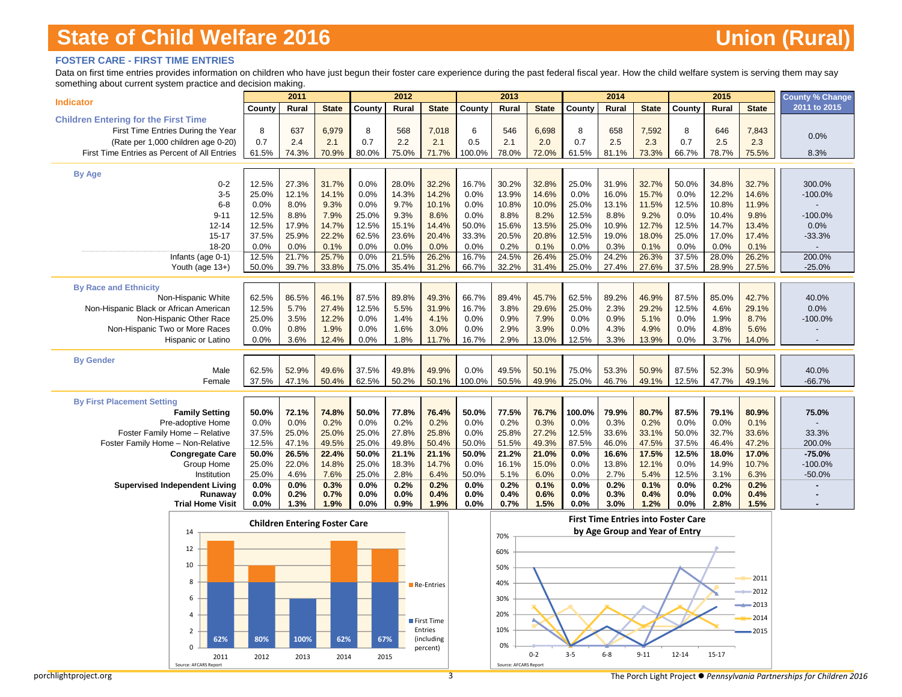### **FOSTER CARE - FIRST TIME ENTRIES**

Data on first time entries provides information on children who have just begun their foster care experience during the past federal fiscal year. How the child welfare system is serving them may say something about current system practice and decision making.

|                                                            |                | 2011                                 |                |               | 2012           |                       |                | 2013                  |                |                | 2014                           |                |                                            | 2015           |                | County % Change    |
|------------------------------------------------------------|----------------|--------------------------------------|----------------|---------------|----------------|-----------------------|----------------|-----------------------|----------------|----------------|--------------------------------|----------------|--------------------------------------------|----------------|----------------|--------------------|
| <b>Indicator</b>                                           | County         | Rural                                | <b>State</b>   | County        | Rural          | <b>State</b>          | County         | Rural                 | <b>State</b>   | County         | Rural                          | <b>State</b>   | County                                     | Rural          | <b>State</b>   | 2011 to 2015       |
| <b>Children Entering for the First Time</b>                |                |                                      |                |               |                |                       |                |                       |                |                |                                |                |                                            |                |                |                    |
| First Time Entries During the Year                         | 8              | 637                                  | 6,979          | 8             | 568            | 7,018                 | 6              | 546                   | 6,698          | 8              | 658                            | 7,592          | 8                                          | 646            | 7,843          | 0.0%               |
| (Rate per 1,000 children age 0-20)                         | 0.7            | 2.4                                  | 2.1            | 0.7           | 2.2            | 2.1                   | 0.5            | 2.1                   | 2.0            | 0.7            | 2.5                            | 2.3            | 0.7                                        | 2.5            | 2.3            |                    |
| First Time Entries as Percent of All Entries               | 61.5%          | 74.3%                                | 70.9%          | 80.0%         | 75.0%          | 71.7%                 | 100.0%         | 78.0%                 | 72.0%          | 61.5%          | 81.1%                          | 73.3%          | 66.7%                                      | 78.7%          | 75.5%          | 8.3%               |
| <b>By Age</b>                                              |                |                                      |                |               |                |                       |                |                       |                |                |                                |                |                                            |                |                |                    |
| $0 - 2$                                                    | 12.5%          | 27.3%                                | 31.7%          | 0.0%          | 28.0%          | 32.2%                 | 16.7%          | 30.2%                 | 32.8%          | 25.0%          | 31.9%                          | 32.7%          | 50.0%                                      | 34.8%          | 32.7%          | 300.0%             |
| $3-5$                                                      | 25.0%          | 12.1%                                | 14.1%          | 0.0%          | 14.3%          | 14.2%                 | 0.0%           | 13.9%                 | 14.6%          | 0.0%           | 16.0%                          | 15.7%          | 0.0%                                       | 12.2%          | 14.6%          | $-100.0%$          |
| $6 - 8$                                                    | 0.0%           | 8.0%                                 | 9.3%           | 0.0%          | 9.7%           | 10.1%                 | 0.0%           | 10.8%                 | 10.0%          | 25.0%          | 13.1%                          | 11.5%          | 12.5%                                      | 10.8%          | 11.9%          |                    |
| $9 - 11$                                                   | 12.5%          | 8.8%                                 | 7.9%           | 25.0%         | 9.3%           | 8.6%                  | 0.0%           | 8.8%                  | 8.2%           | 12.5%          | 8.8%                           | 9.2%           | 0.0%                                       | 10.4%          | 9.8%           | $-100.0%$          |
| $12 - 14$                                                  | 12.5%          | 17.9%                                | 14.7%          | 12.5%         | 15.1%          | 14.4%                 | 50.0%          | 15.6%                 | 13.5%          | 25.0%          | 10.9%                          | 12.7%          | 12.5%                                      | 14.7%          | 13.4%          | 0.0%               |
| $15 - 17$                                                  | 37.5%          | 25.9%                                | 22.2%          | 62.5%         | 23.6%          | 20.4%                 | 33.3%          | 20.5%                 | 20.8%          | 12.5%          | 19.0%                          | 18.0%          | 25.0%                                      | 17.0%          | 17.4%          | $-33.3%$           |
| 18-20                                                      | 0.0%           | 0.0%                                 | 0.1%           | 0.0%          | 0.0%           | 0.0%                  | 0.0%           | 0.2%                  | 0.1%           | 0.0%           | 0.3%                           | 0.1%           | 0.0%                                       | 0.0%           | 0.1%           |                    |
| Infants (age 0-1)<br>Youth (age 13+)                       | 12.5%<br>50.0% | 21.7%<br>39.7%                       | 25.7%<br>33.8% | 0.0%<br>75.0% | 21.5%<br>35.4% | 26.2%<br>31.2%        | 16.7%<br>66.7% | 24.5%<br>32.2%        | 26.4%<br>31.4% | 25.0%<br>25.0% | 24.2%<br>27.4%                 | 26.3%<br>27.6% | 37.5%<br>37.5%                             | 28.0%<br>28.9% | 26.2%<br>27.5% | 200.0%<br>$-25.0%$ |
|                                                            |                |                                      |                |               |                |                       |                |                       |                |                |                                |                |                                            |                |                |                    |
| <b>By Race and Ethnicity</b>                               |                |                                      |                |               |                |                       |                |                       |                |                |                                |                |                                            |                |                |                    |
| Non-Hispanic White                                         | 62.5%          | 86.5%                                | 46.1%          | 87.5%         | 89.8%          | 49.3%                 | 66.7%          | 89.4%                 | 45.7%          | 62.5%          | 89.2%                          | 46.9%          | 87.5%                                      | 85.0%          | 42.7%          | 40.0%              |
| Non-Hispanic Black or African American                     | 12.5%          | 5.7%                                 | 27.4%          | 12.5%         | 5.5%           | 31.9%                 | 16.7%          | 3.8%                  | 29.6%          | 25.0%          | 2.3%                           | 29.2%          | 12.5%                                      | 4.6%           | 29.1%          | 0.0%               |
| Non-Hispanic Other Race                                    | 25.0%          | 3.5%                                 | 12.2%          | 0.0%          | 1.4%           | 4.1%                  | 0.0%           | 0.9%                  | 7.9%           | 0.0%           | 0.9%                           | 5.1%           | 0.0%                                       | 1.9%           | 8.7%           | $-100.0%$          |
| Non-Hispanic Two or More Races                             | 0.0%           | 0.8%                                 | 1.9%           | 0.0%          | 1.6%           | 3.0%                  | 0.0%           | 2.9%                  | 3.9%           | 0.0%           | 4.3%                           | 4.9%           | 0.0%                                       | 4.8%           | 5.6%           |                    |
| Hispanic or Latino                                         | 0.0%           | 3.6%                                 | 12.4%          | 0.0%          | 1.8%           | 11.7%                 | 16.7%          | 2.9%                  | 13.0%          | 12.5%          | 3.3%                           | 13.9%          | 0.0%                                       | 3.7%           | 14.0%          |                    |
| <b>By Gender</b>                                           |                |                                      |                |               |                |                       |                |                       |                |                |                                |                |                                            |                |                |                    |
| Male                                                       | 62.5%          | 52.9%                                | 49.6%          | 37.5%         | 49.8%          | 49.9%                 | 0.0%           | 49.5%                 | 50.1%          | 75.0%          | 53.3%                          | 50.9%          | 87.5%                                      | 52.3%          | 50.9%          | 40.0%              |
| Female                                                     | 37.5%          | 47.1%                                | 50.4%          | 62.5%         | 50.2%          | 50.1%                 | 100.0%         | 50.5%                 | 49.9%          | 25.0%          | 46.7%                          | 49.1%          | 12.5%                                      | 47.7%          | 49.1%          | $-66.7%$           |
|                                                            |                |                                      |                |               |                |                       |                |                       |                |                |                                |                |                                            |                |                |                    |
| <b>By First Placement Setting</b><br><b>Family Setting</b> | 50.0%          | 72.1%                                | 74.8%          | 50.0%         | 77.8%          | 76.4%                 | 50.0%          | 77.5%                 | 76.7%          | 100.0%         | 79.9%                          | 80.7%          | 87.5%                                      | 79.1%          | 80.9%          | 75.0%              |
| Pre-adoptive Home                                          | 0.0%           | 0.0%                                 | 0.2%           | 0.0%          | 0.2%           | 0.2%                  | 0.0%           | 0.2%                  | 0.3%           | 0.0%           | 0.3%                           | 0.2%           | 0.0%                                       | 0.0%           | 0.1%           |                    |
| Foster Family Home - Relative                              | 37.5%          | 25.0%                                | 25.0%          | 25.0%         | 27.8%          | 25.8%                 | 0.0%           | 25.8%                 | 27.2%          | 12.5%          | 33.6%                          | 33.1%          | 50.0%                                      | 32.7%          | 33.6%          | 33.3%              |
| Foster Family Home - Non-Relative                          | 12.5%          | 47.1%                                | 49.5%          | 25.0%         | 49.8%          | 50.4%                 | 50.0%          | 51.5%                 | 49.3%          | 87.5%          | 46.0%                          | 47.5%          | 37.5%                                      | 46.4%          | 47.2%          | 200.0%             |
| <b>Congregate Care</b>                                     | 50.0%          | 26.5%                                | 22.4%          | 50.0%         | 21.1%          | 21.1%                 | 50.0%          | 21.2%                 | 21.0%          | 0.0%           | 16.6%                          | 17.5%          | 12.5%                                      | 18.0%          | 17.0%          | $-75.0%$           |
| Group Home                                                 | 25.0%          | 22.0%                                | 14.8%          | 25.0%         | 18.3%          | 14.7%                 | 0.0%           | 16.1%                 | 15.0%          | 0.0%           | 13.8%                          | 12.1%          | 0.0%                                       | 14.9%          | 10.7%          | $-100.0%$          |
| Institution                                                | 25.0%          | 4.6%                                 | 7.6%           | 25.0%         | 2.8%           | 6.4%                  | 50.0%          | 5.1%                  | 6.0%           | 0.0%           | 2.7%                           | 5.4%           | 12.5%                                      | 3.1%           | 6.3%           | $-50.0%$           |
| <b>Supervised Independent Living</b><br>Runaway            | 0.0%<br>0.0%   | 0.0%<br>0.2%                         | 0.3%<br>0.7%   | 0.0%<br>0.0%  | 0.2%<br>0.0%   | 0.2%<br>0.4%          | 0.0%<br>0.0%   | 0.2%<br>0.4%          | 0.1%<br>0.6%   | 0.0%<br>0.0%   | 0.2%<br>0.3%                   | 0.1%<br>0.4%   | 0.0%<br>0.0%                               | 0.2%<br>0.0%   | 0.2%<br>0.4%   |                    |
| <b>Trial Home Visit</b>                                    | 0.0%           | 1.3%                                 | 1.9%           | 0.0%          | 0.9%           | 1.9%                  | 0.0%           | 0.7%                  | 1.5%           | 0.0%           | 3.0%                           | 1.2%           | 0.0%                                       | 2.8%           | 1.5%           |                    |
|                                                            |                |                                      |                |               |                |                       |                |                       |                |                |                                |                | <b>First Time Entries into Foster Care</b> |                |                |                    |
| 14                                                         |                | <b>Children Entering Foster Care</b> |                |               |                |                       |                |                       |                |                | by Age Group and Year of Entry |                |                                            |                |                |                    |
|                                                            |                |                                      |                |               |                |                       |                | 70%                   |                |                |                                |                |                                            |                |                |                    |
| 12                                                         |                |                                      |                |               |                |                       |                | 60%                   |                |                |                                |                |                                            |                |                |                    |
| 10                                                         |                |                                      |                |               |                |                       |                | 50%                   |                |                |                                |                |                                            |                |                |                    |
|                                                            |                |                                      |                |               |                |                       |                |                       |                |                |                                |                |                                            |                | 2011           |                    |
| 8                                                          |                |                                      |                |               |                | Re-Entries            |                | 40%                   |                |                |                                |                |                                            |                | 2012           |                    |
| 6                                                          |                |                                      |                |               |                |                       |                | 30%                   |                |                |                                |                |                                            |                |                |                    |
| 4                                                          |                |                                      |                |               |                |                       |                | 20%                   |                |                |                                |                |                                            |                | 2013           |                    |
|                                                            |                |                                      |                |               |                | First Time            |                |                       |                |                |                                |                |                                            |                | 2014           |                    |
| $\overline{2}$                                             |                | 100%                                 |                |               |                | Entries<br>(including |                | 10%                   |                |                |                                |                |                                            |                | 2015           |                    |
| 62%<br>n                                                   | 80%            |                                      | 62%            | 67%           |                | percent)              |                | $\Omega$ %            |                |                |                                |                |                                            |                |                |                    |
| 2011<br>Source: AFCARS<br>Report                           | 2012           | 2013                                 | 2014           | 2015          |                |                       |                | Source: AFCARS Report | $0 - 2$        | $3 - 5$        | $6-8$                          | $9 - 11$       | $12 - 14$                                  | $15 - 17$      |                |                    |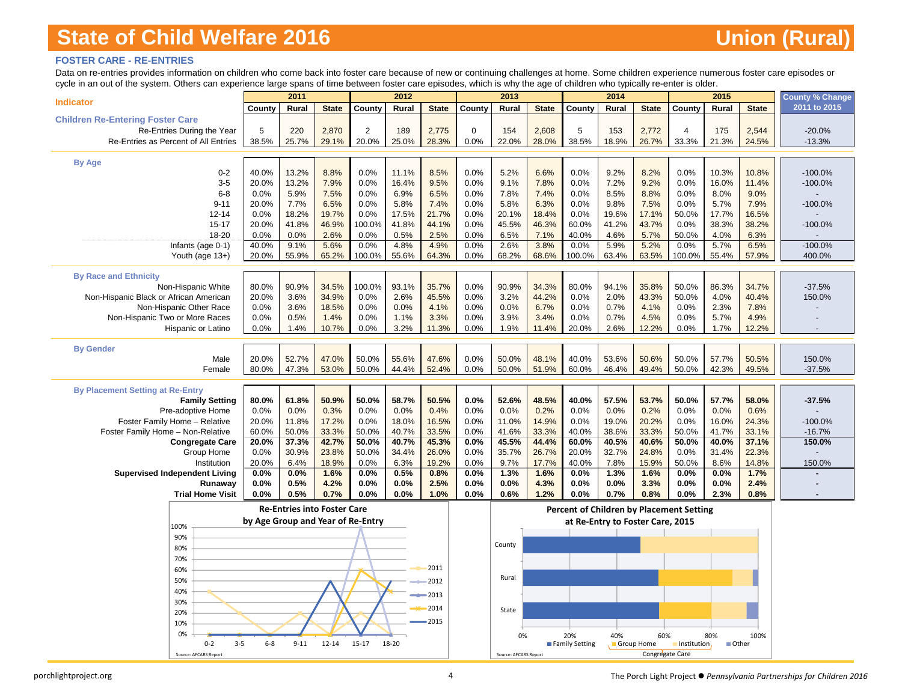### **FOSTER CARE - RE-ENTRIES**

Data on re-entries provides information on children who come back into foster care because of new or continuing challenges at home. Some children experience numerous foster care episodes or cycle in an out of the system. Others can experience large spans of time between foster care episodes, which is why the age of children who typically re-enter is older.

|                                         |                                   | 2011                               |              |         | 2012  |              |             | 2013                  |              |                | 2014                             |                 |                                          | 2015         |              | <b>County % Change</b> |
|-----------------------------------------|-----------------------------------|------------------------------------|--------------|---------|-------|--------------|-------------|-----------------------|--------------|----------------|----------------------------------|-----------------|------------------------------------------|--------------|--------------|------------------------|
| <b>Indicator</b>                        | County                            | Rural                              | <b>State</b> | County  | Rural | <b>State</b> | County      | Rural                 | <b>State</b> | County         | Rural                            | <b>State</b>    | County                                   | Rural        | <b>State</b> | 2011 to 2015           |
| <b>Children Re-Entering Foster Care</b> |                                   |                                    |              |         |       |              |             |                       |              |                |                                  |                 |                                          |              |              |                        |
| Re-Entries During the Year              | 5                                 | 220                                | 2,870        | 2       | 189   | 2,775        | $\mathbf 0$ | 154                   | 2,608        | 5              | 153                              | 2,772           | $\overline{4}$                           | 175          | 2,544        | $-20.0%$               |
| Re-Entries as Percent of All Entries    | 38.5%                             | 25.7%                              | 29.1%        | 20.0%   | 25.0% | 28.3%        | 0.0%        | 22.0%                 | 28.0%        | 38.5%          | 18.9%                            | 26.7%           | 33.3%                                    | 21.3%        | 24.5%        | $-13.3%$               |
|                                         |                                   |                                    |              |         |       |              |             |                       |              |                |                                  |                 |                                          |              |              |                        |
| <b>By Age</b>                           |                                   |                                    |              |         |       |              |             |                       |              |                |                                  |                 |                                          |              |              |                        |
| $0 - 2$                                 | 40.0%                             | 13.2%                              | 8.8%         | 0.0%    | 11.1% | 8.5%         | 0.0%        | 5.2%                  | 6.6%         | 0.0%           | 9.2%                             | 8.2%            | 0.0%                                     | 10.3%        | 10.8%        | $-100.0%$              |
| $3-5$                                   | 20.0%                             | 13.2%                              | 7.9%         | 0.0%    | 16.4% | 9.5%         | 0.0%        | 9.1%                  | 7.8%         | 0.0%           | 7.2%                             | 9.2%            | 0.0%                                     | 16.0%        | 11.4%        | $-100.0%$              |
| $6 - 8$                                 | 0.0%                              | 5.9%                               | 7.5%         | 0.0%    | 6.9%  | 6.5%         | 0.0%        | 7.8%                  | 7.4%         | 0.0%           | 8.5%                             | 8.8%            | 0.0%                                     | 8.0%         | 9.0%         |                        |
| $9 - 11$                                | 20.0%                             | 7.7%                               | 6.5%         | 0.0%    | 5.8%  | 7.4%         | 0.0%        | 5.8%                  | 6.3%         | 0.0%           | 9.8%                             | 7.5%            | 0.0%                                     | 5.7%         | 7.9%         | $-100.0%$              |
| $12 - 14$                               | 0.0%                              | 18.2%                              | 19.7%        | 0.0%    | 17.5% | 21.7%        | 0.0%        | 20.1%                 | 18.4%        | 0.0%           | 19.6%                            | 17.1%           | 50.0%                                    | 17.7%        | 16.5%        |                        |
| $15 - 17$                               | 20.0%                             | 41.8%                              | 46.9%        | 100.0%  | 41.8% | 44.1%        | 0.0%        | 45.5%                 | 46.3%        | 60.0%          | 41.2%                            | 43.7%           | 0.0%                                     | 38.3%        | 38.2%        | $-100.0%$              |
| 18-20                                   | 0.0%                              | 0.0%                               | 2.6%         | 0.0%    | 0.5%  | 2.5%         | 0.0%        | 6.5%                  | 7.1%         | 40.0%          | 4.6%                             | 5.7%            | 50.0%                                    | 4.0%         | 6.3%         |                        |
| Infants (age 0-1)                       | 40.0%                             | 9.1%                               | 5.6%         | 0.0%    | 4.8%  | 4.9%         | 0.0%        | 2.6%                  | 3.8%         | 0.0%           | 5.9%                             | 5.2%            | 0.0%                                     | 5.7%         | 6.5%         | $-100.0%$              |
| Youth (age 13+)                         | 20.0%                             | 55.9%                              | 65.2%        | 100.0%  | 55.6% | 64.3%        | 0.0%        | 68.2%                 | 68.6%        | 100.0%         | 63.4%                            | 63.5%           | 100.0%                                   | 55.4%        | 57.9%        | 400.0%                 |
|                                         |                                   |                                    |              |         |       |              |             |                       |              |                |                                  |                 |                                          |              |              |                        |
| <b>By Race and Ethnicity</b>            |                                   |                                    |              |         |       |              |             |                       |              |                |                                  |                 |                                          |              |              |                        |
| Non-Hispanic White                      | 80.0%                             | 90.9%                              | 34.5%        | 100.0%  | 93.1% | 35.7%        | 0.0%        | 90.9%                 | 34.3%        | 80.0%          | 94.1%                            | 35.8%           | 50.0%                                    | 86.3%        | 34.7%        | $-37.5%$               |
| Non-Hispanic Black or African American  | 20.0%                             | 3.6%                               | 34.9%        | 0.0%    | 2.6%  | 45.5%        | 0.0%        | 3.2%                  | 44.2%        | 0.0%           | 2.0%                             | 43.3%           | 50.0%                                    | 4.0%         | 40.4%        | 150.0%                 |
| Non-Hispanic Other Race                 | 0.0%                              | 3.6%                               | 18.5%        | 0.0%    | 0.0%  | 4.1%         | 0.0%        | 0.0%                  | 6.7%         | 0.0%           | 0.7%                             | 4.1%            | 0.0%                                     | 2.3%         | 7.8%         |                        |
| Non-Hispanic Two or More Races          | 0.0%                              | 0.5%                               | 1.4%         | 0.0%    | 1.1%  | 3.3%         | 0.0%        | 3.9%                  | 3.4%         | 0.0%           | 0.7%                             | 4.5%            | 0.0%                                     | 5.7%         | 4.9%         |                        |
| <b>Hispanic or Latino</b>               | 0.0%                              | 1.4%                               | 10.7%        | 0.0%    | 3.2%  | 11.3%        | 0.0%        | 1.9%                  | 11.4%        | 20.0%          | 2.6%                             | 12.2%           | 0.0%                                     | 1.7%         | 12.2%        |                        |
|                                         |                                   |                                    |              |         |       |              |             |                       |              |                |                                  |                 |                                          |              |              |                        |
| <b>By Gender</b>                        |                                   |                                    |              |         |       |              |             |                       |              |                |                                  |                 |                                          |              |              |                        |
| Male                                    | 20.0%                             | 52.7%                              | 47.0%        | 50.0%   | 55.6% | 47.6%        | 0.0%        | 50.0%                 | 48.1%        | 40.0%          | 53.6%                            | 50.6%           | 50.0%                                    | 57.7%        | 50.5%        | 150.0%                 |
| Female                                  | 80.0%                             | 47.3%                              | 53.0%        | 50.0%   | 44.4% | 52.4%        | 0.0%        | 50.0%                 | 51.9%        | 60.0%          | 46.4%                            | 49.4%           | 50.0%                                    | 42.3%        | 49.5%        | $-37.5%$               |
| <b>By Placement Setting at Re-Entry</b> |                                   |                                    |              |         |       |              |             |                       |              |                |                                  |                 |                                          |              |              |                        |
| <b>Family Setting</b>                   | 80.0%                             | 61.8%                              | 50.9%        | 50.0%   | 58.7% | 50.5%        | 0.0%        | 52.6%                 | 48.5%        | 40.0%          | 57.5%                            | 53.7%           | 50.0%                                    | 57.7%        | 58.0%        | $-37.5%$               |
| Pre-adoptive Home                       | 0.0%                              | 0.0%                               | 0.3%         | 0.0%    | 0.0%  | 0.4%         | 0.0%        | 0.0%                  | 0.2%         | 0.0%           | 0.0%                             | 0.2%            | 0.0%                                     | 0.0%         | 0.6%         |                        |
| Foster Family Home - Relative           | 20.0%                             | 11.8%                              | 17.2%        | 0.0%    | 18.0% | 16.5%        | 0.0%        | 11.0%                 | 14.9%        | 0.0%           | 19.0%                            | 20.2%           | 0.0%                                     | 16.0%        | 24.3%        | $-100.0%$              |
| Foster Family Home - Non-Relative       | 60.0%                             | 50.0%                              | 33.3%        | 50.0%   | 40.7% | 33.5%        | 0.0%        | 41.6%                 | 33.3%        | 40.0%          | 38.6%                            | 33.3%           | 50.0%                                    | 41.7%        | 33.1%        | $-16.7%$               |
| <b>Congregate Care</b>                  | 20.0%                             | 37.3%                              | 42.7%        | 50.0%   | 40.7% | 45.3%        | 0.0%        | 45.5%                 | 44.4%        | 60.0%          | 40.5%                            | 40.6%           | 50.0%                                    | 40.0%        | 37.1%        | 150.0%                 |
| Group Home                              | 0.0%                              | 30.9%                              | 23.8%        | 50.0%   | 34.4% | 26.0%        | 0.0%        | 35.7%                 | 26.7%        | 20.0%          | 32.7%                            | 24.8%           | 0.0%                                     | 31.4%        | 22.3%        |                        |
| Institution                             | 20.0%                             | 6.4%                               | 18.9%        | 0.0%    | 6.3%  | 19.2%        | 0.0%        | 9.7%                  | 17.7%        | 40.0%          | 7.8%                             | 15.9%           | 50.0%                                    | 8.6%         | 14.8%        | 150.0%                 |
| <b>Supervised Independent Living</b>    | 0.0%                              | 0.0%                               | 1.6%         | 0.0%    | 0.5%  | 0.8%         | 0.0%        | 1.3%                  | 1.6%         | 0.0%           | 1.3%                             | 1.6%            | 0.0%                                     | 0.0%         | 1.7%         |                        |
| Runaway                                 | 0.0%                              | 0.5%                               | 4.2%         | 0.0%    | 0.0%  | 2.5%         | 0.0%        | 0.0%                  | 4.3%         | 0.0%           | 0.0%                             | 3.3%            | 0.0%                                     | 0.0%         | 2.4%         |                        |
| <b>Trial Home Visit</b>                 | 0.0%                              | 0.5%                               | 0.7%         | 0.0%    | 0.0%  | 1.0%         | 0.0%        | 0.6%                  | 1.2%         | 0.0%           | 0.7%                             | 0.8%            | 0.0%                                     | 2.3%         | 0.8%         |                        |
|                                         |                                   |                                    |              |         |       |              |             |                       |              |                |                                  |                 |                                          |              |              |                        |
|                                         |                                   | <b>Re-Entries into Foster Care</b> |              |         |       |              |             |                       |              |                |                                  |                 | Percent of Children by Placement Setting |              |              |                        |
| 100%                                    | by Age Group and Year of Re-Entry |                                    |              |         |       |              |             |                       |              |                | at Re-Entry to Foster Care, 2015 |                 |                                          |              |              |                        |
| 90%                                     |                                   |                                    |              |         |       |              |             |                       |              |                |                                  |                 |                                          |              |              |                        |
| 80%                                     |                                   |                                    |              |         |       |              |             | County                |              |                |                                  |                 |                                          |              |              |                        |
| 70%                                     |                                   |                                    |              |         |       |              |             |                       |              |                |                                  |                 |                                          |              |              |                        |
| 60%                                     |                                   |                                    |              |         |       | 2011         |             |                       |              |                |                                  |                 |                                          |              |              |                        |
| 50%                                     |                                   |                                    |              |         |       | 2012         |             | Rural                 |              |                |                                  |                 |                                          |              |              |                        |
| 40%                                     |                                   |                                    |              |         |       | 2013         |             |                       |              |                |                                  |                 |                                          |              |              |                        |
| 30%                                     |                                   |                                    |              |         |       |              |             |                       |              |                |                                  |                 |                                          |              |              |                        |
| 20%                                     |                                   |                                    |              |         |       | 2014         |             | State                 |              |                |                                  |                 |                                          |              |              |                        |
| 10%                                     |                                   |                                    |              |         |       | 2015         |             |                       |              |                |                                  |                 |                                          |              |              |                        |
| 0%                                      |                                   |                                    |              |         |       |              |             | 0%                    |              | 20%            | 40%                              | 60%             |                                          | 80%          | 100%         |                        |
| $0 - 2$<br>$3 - 5$                      | $6-8$                             | $9 - 11$                           | $12 - 14$    | $15-17$ | 18-20 |              |             |                       |              | Family Setting | Group Home                       |                 | Institution.                             | <b>Other</b> |              |                        |
| Source: AFCARS Report                   |                                   |                                    |              |         |       |              |             | Source: AFCARS Report |              |                |                                  | Congregate Care |                                          |              |              |                        |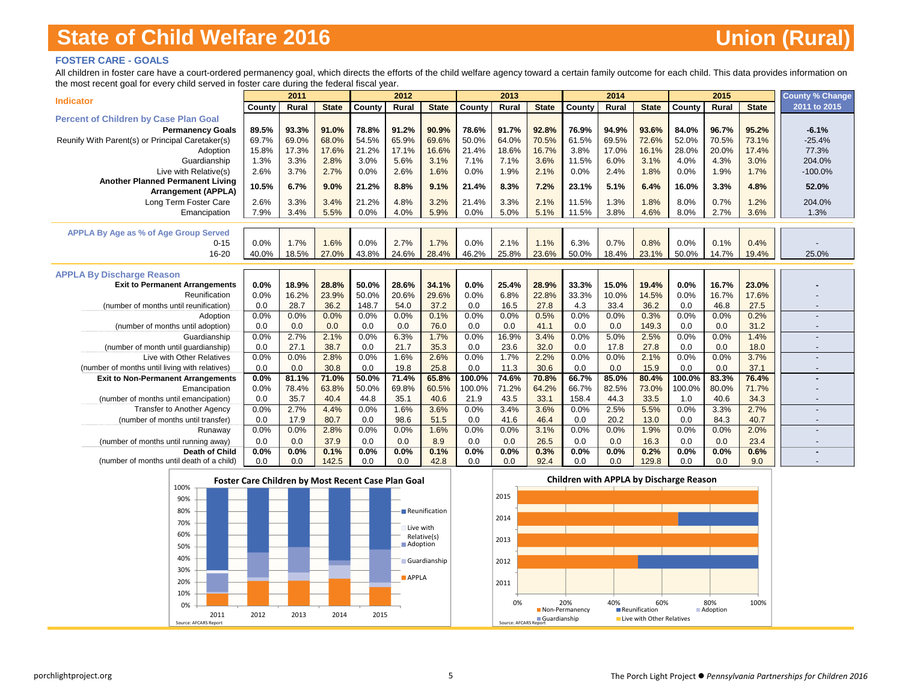### **FOSTER CARE - GOALS**

All children in foster care have a court-ordered permanency goal, which directs the efforts of the child welfare agency toward a certain family outcome for each child. This data provides information on the most recent goal for every child served in foster care during the federal fiscal year.

|                                                   |             | 2011          |              |               | 2012         |              |             | 2013         |              |             | 2014         |               |             | 2015         |              | <b>County % Change</b>   |
|---------------------------------------------------|-------------|---------------|--------------|---------------|--------------|--------------|-------------|--------------|--------------|-------------|--------------|---------------|-------------|--------------|--------------|--------------------------|
| <b>Indicator</b>                                  | County      | Rural         | <b>State</b> | County        | Rural        | <b>State</b> | County      | Rural        | <b>State</b> | County      | Rural        | <b>State</b>  | County      | Rural        | <b>State</b> | 2011 to 2015             |
| <b>Percent of Children by Case Plan Goal</b>      |             |               |              |               |              |              |             |              |              |             |              |               |             |              |              |                          |
| <b>Permanency Goals</b>                           | 89.5%       | 93.3%         | 91.0%        | 78.8%         | 91.2%        | 90.9%        | 78.6%       | 91.7%        | 92.8%        | 76.9%       | 94.9%        | 93.6%         | 84.0%       | 96.7%        | 95.2%        | $-6.1%$                  |
| Reunify With Parent(s) or Principal Caretaker(s)  | 69.7%       | 69.0%         | 68.0%        | 54.5%         | 65.9%        | 69.6%        | 50.0%       | 64.0%        | 70.5%        | 61.5%       | 69.5%        | 72.6%         | 52.0%       | 70.5%        | 73.1%        | $-25.4%$                 |
| Adoption                                          | 15.8%       | 17.3%         | 17.6%        | 21.2%         | 17.1%        | 16.6%        | 21.4%       | 18.6%        | 16.7%        | 3.8%        | 17.0%        | 16.1%         | 28.0%       | 20.0%        | 17.4%        | 77.3%                    |
| Guardianship                                      | 1.3%        | 3.3%          | 2.8%         | 3.0%          | 5.6%         | 3.1%         | 7.1%        | 7.1%         | 3.6%         | 11.5%       | 6.0%         | 3.1%          | 4.0%        | 4.3%         | 3.0%         | 204.0%                   |
| Live with Relative(s)                             | 2.6%        | 3.7%          | 2.7%         | 0.0%          | 2.6%         | 1.6%         | 0.0%        | 1.9%         | 2.1%         | 0.0%        | 2.4%         | 1.8%          | 0.0%        | 1.9%         | 1.7%         | $-100.0%$                |
| Another Planned Permanent Living                  | 10.5%       | 6.7%          | 9.0%         | 21.2%         | 8.8%         | 9.1%         | 21.4%       | 8.3%         | 7.2%         | 23.1%       | 5.1%         | 6.4%          | 16.0%       | 3.3%         | 4.8%         | 52.0%                    |
| <b>Arrangement (APPLA)</b>                        |             |               |              |               |              |              |             |              |              |             |              |               |             |              |              |                          |
| Long Term Foster Care                             | 2.6%        | 3.3%          | 3.4%         | 21.2%         | 4.8%         | 3.2%         | 21.4%       | 3.3%         | 2.1%         | 11.5%       | 1.3%         | 1.8%          | 8.0%        | 0.7%         | 1.2%         | 204.0%                   |
| Emancipation                                      | 7.9%        | 3.4%          | 5.5%         | 0.0%          | 4.0%         | 5.9%         | 0.0%        | 5.0%         | 5.1%         | 11.5%       | 3.8%         | 4.6%          | 8.0%        | 2.7%         | 3.6%         | 1.3%                     |
|                                                   |             |               |              |               |              |              |             |              |              |             |              |               |             |              |              |                          |
| <b>APPLA By Age as % of Age Group Served</b>      |             |               |              |               |              |              |             |              |              |             |              |               |             |              |              |                          |
| $0 - 15$                                          | 0.0%        | 1.7%          | 1.6%         | 0.0%          | 2.7%         | 1.7%         | 0.0%        | 2.1%         | 1.1%         | 6.3%        | 0.7%         | 0.8%          | 0.0%        | 0.1%         | 0.4%         |                          |
| 16-20                                             | 40.0%       | 18.5%         | 27.0%        | 43.8%         | 24.6%        | 28.4%        | 46.2%       | 25.8%        | 23.6%        | 50.0%       | 18.4%        | 23.1%         | 50.0%       | 14.7%        | 19.4%        | 25.0%                    |
|                                                   |             |               |              |               |              |              |             |              |              |             |              |               |             |              |              |                          |
| <b>APPLA By Discharge Reason</b>                  |             |               |              |               |              |              |             |              |              |             |              |               |             |              |              |                          |
| <b>Exit to Permanent Arrangements</b>             | 0.0%        | 18.9%         | 28.8%        | 50.0%         | 28.6%        | 34.1%        | 0.0%        | 25.4%        | 28.9%        | 33.3%       | 15.0%        | 19.4%         | 0.0%        | 16.7%        | 23.0%        |                          |
| Reunification                                     | 0.0%        | 16.2%<br>28.7 | 23.9%        | 50.0%         | 20.6%        | 29.6%        | 0.0%        | 6.8%         | 22.8%        | 33.3%       | 10.0%        | 14.5%         | 0.0%        | 16.7%        | 17.6%        |                          |
| (number of months until reunification)            | 0.0<br>0.0% | 0.0%          | 36.2<br>0.0% | 148.7<br>0.0% | 54.0<br>0.0% | 37.2<br>0.1% | 0.0<br>0.0% | 16.5<br>0.0% | 27.8<br>0.5% | 4.3<br>0.0% | 33.4<br>0.0% | 36.2<br>0.3%  | 0.0<br>0.0% | 46.8<br>0.0% | 27.5<br>0.2% |                          |
| Adoption                                          |             | 0.0           |              |               | 0.0          |              |             |              |              |             |              |               |             |              |              |                          |
| (number of months until adoption)<br>Guardianship | 0.0<br>0.0% | 2.7%          | 0.0<br>2.1%  | 0.0<br>0.0%   | 6.3%         | 76.0<br>1.7% | 0.0<br>0.0% | 0.0<br>16.9% | 41.1<br>3.4% | 0.0<br>0.0% | 0.0<br>5.0%  | 149.3<br>2.5% | 0.0<br>0.0% | 0.0<br>0.0%  | 31.2<br>1.4% |                          |
| (number of month until quardianship)              | 0.0         | 27.1          | 38.7         | 0.0           | 21.7         | 35.3         | 0.0         | 23.6         | 32.0         | 0.0         | 17.8         | 27.8          | 0.0         | 0.0          | 18.0         |                          |
| Live with Other Relatives                         | 0.0%        | 0.0%          | 2.8%         | 0.0%          | 1.6%         | 2.6%         | 0.0%        | 1.7%         | 2.2%         | 0.0%        | 0.0%         | 2.1%          | 0.0%        | 0.0%         | 3.7%         |                          |
| (number of months until living with relatives)    | 0.0         | 0.0           | 30.8         | 0.0           | 19.8         | 25.8         | 0.0         | 11.3         | 30.6         | 0.0         | 0.0          | 15.9          | 0.0         | 0.0          | 37.1         | $\overline{\phantom{a}}$ |
| <b>Exit to Non-Permanent Arrangements</b>         | 0.0%        | 81.1%         | 71.0%        | 50.0%         | 71.4%        | 65.8%        | 100.0%      | 74.6%        | 70.8%        | 66.7%       | 85.0%        | 80.4%         | 100.0%      | 83.3%        | 76.4%        |                          |
| Emancipation                                      | 0.0%        | 78.4%         | 63.8%        | 50.0%         | 69.8%        | 60.5%        | 100.0%      | 71.2%        | 64.2%        | 66.7%       | 82.5%        | 73.0%         | 100.0%      | 80.0%        | 71.7%        |                          |
| (number of months until emancipation)             | 0.0         | 35.7          | 40.4         | 44.8          | 35.1         | 40.6         | 21.9        | 43.5         | 33.1         | 158.4       | 44.3         | 33.5          | 1.0         | 40.6         | 34.3         |                          |
| <b>Transfer to Another Agency</b>                 | 0.0%        | 2.7%          | 4.4%         | 0.0%          | 1.6%         | 3.6%         | 0.0%        | 3.4%         | 3.6%         | 0.0%        | 2.5%         | 5.5%          | 0.0%        | 3.3%         | 2.7%         |                          |
| (number of months until transfer)                 | 0.0         | 17.9          | 80.7         | 0.0           | 98.6         | 51.5         | 0.0         | 41.6         | 46.4         | 0.0         | 20.2         | 13.0          | 0.0         | 84.3         | 40.7         |                          |
| Runaway                                           | 0.0%        | 0.0%          | 2.8%         | 0.0%          | 0.0%         | 1.6%         | 0.0%        | 0.0%         | 3.1%         | 0.0%        | 0.0%         | 1.9%          | 0.0%        | 0.0%         | 2.0%         |                          |
| (number of months until running away)             | 0.0         | 0.0           | 37.9         | 0.0           | 0.0          | 8.9          | 0.0         | 0.0          | 26.5         | 0.0         | 0.0          | 16.3          | 0.0         | 0.0          | 23.4         |                          |
| Death of Child                                    | 0.0%        | 0.0%          | 0.1%         | 0.0%          | 0.0%         | 0.1%         | 0.0%        | 0.0%         | 0.3%         | 0.0%        | 0.0%         | 0.2%          | 0.0%        | 0.0%         | 0.6%         |                          |
| (number of months until death of a child)         | 0.0         | 0.0           | 142.5        | 0.0           | 0.0          | 42.8         | 0.0         | 0.0          | 92.4         | 0.0         | 0.0          | 129.8         | 0.0         | 0.0          | 9.0          |                          |



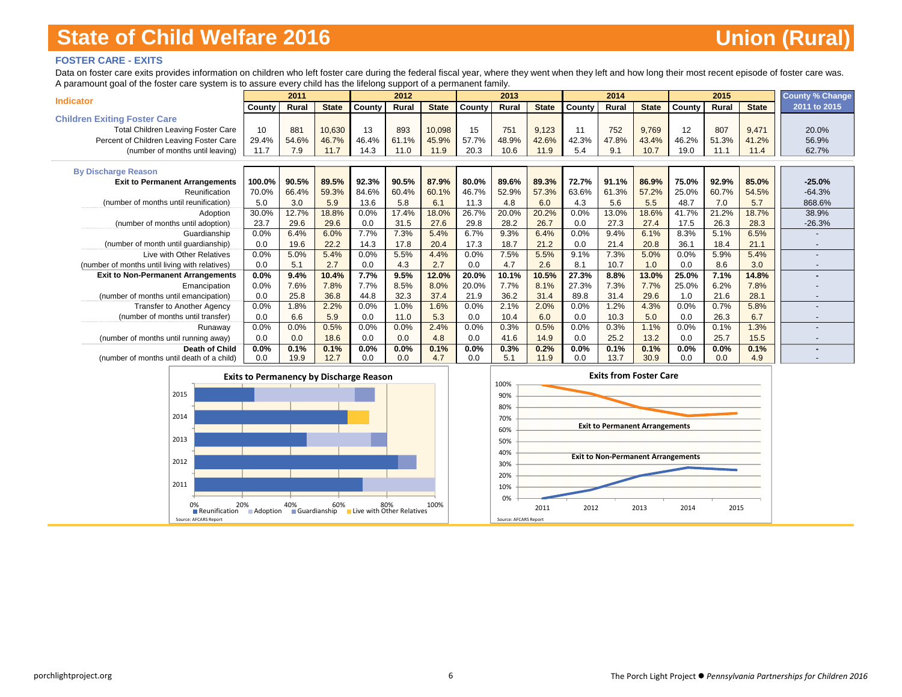### **FOSTER CARE - EXITS**

Data on foster care exits provides information on children who left foster care during the federal fiscal year, where they went when they left and how long their most recent episode of foster care was. A paramount goal of the foster care system is to assure every child has the lifelong support of a permanent family.

| <b>Indicator</b>                               |         | 2011  |              |        | 2012  |              |        | 2013  |              |        | 2014  |              |        | 2015    |              | <b>County % Change</b>   |
|------------------------------------------------|---------|-------|--------------|--------|-------|--------------|--------|-------|--------------|--------|-------|--------------|--------|---------|--------------|--------------------------|
|                                                | County  | Rural | <b>State</b> | County | Rural | <b>State</b> | County | Rural | <b>State</b> | County | Rural | <b>State</b> | County | Rural   | <b>State</b> | 2011 to 2015             |
| <b>Children Exiting Foster Care</b>            |         |       |              |        |       |              |        |       |              |        |       |              |        |         |              |                          |
| <b>Total Children Leaving Foster Care</b>      | 10      | 881   | 10,630       | 13     | 893   | 10,098       | 15     | 751   | 9,123        |        | 752   | 9,769        | 12     | 807     | 9,471        | 20.0%                    |
| Percent of Children Leaving Foster Care        | 29.4%   | 54.6% | 46.7%        | 46.4%  | 61.1% | 45.9%        | 57.7%  | 48.9% | 42.6%        | 42.3%  | 47.8% | 43.4%        | 46.2%  | 51.3%   | 41.2%        | 56.9%                    |
| (number of months until leaving)               | 11.7    | 7.9   | 11.7         | 14.3   | 11.0  | 11.9         | 20.3   | 10.6  | 11.9         | 5.4    | 9.1   | 10.7         | 19.0   | 11.1    | 11.4         | 62.7%                    |
|                                                |         |       |              |        |       |              |        |       |              |        |       |              |        |         |              |                          |
| <b>By Discharge Reason</b>                     |         |       |              |        |       |              |        |       |              |        |       |              |        |         |              |                          |
| <b>Exit to Permanent Arrangements</b>          | 100.0%  | 90.5% | 89.5%        | 92.3%  | 90.5% | 87.9%        | 80.0%  | 89.6% | 89.3%        | 72.7%  | 91.1% | 86.9%        | 75.0%  | 92.9%   | 85.0%        | $-25.0%$                 |
| Reunification                                  | 70.0%   | 66.4% | 59.3%        | 84.6%  | 60.4% | 60.1%        | 46.7%  | 52.9% | 57.3%        | 63.6%  | 61.3% | 57.2%        | 25.0%  | 60.7%   | 54.5%        | $-64.3%$                 |
| (number of months until reunification)         | 5.0     | 3.0   | 5.9          | 13.6   | 5.8   | 6.1          | 11.3   | 4.8   | 6.0          | 4.3    | 5.6   | 5.5          | 48.7   | 7.0     | 5.7          | 868.6%                   |
| Adoption                                       | 30.0%   | 12.7% | 18.8%        | 0.0%   | 17.4% | 18.0%        | 26.7%  | 20.0% | 20.2%        | 0.0%   | 13.0% | 18.6%        | 41.7%  | 21.2%   | 18.7%        | 38.9%                    |
| (number of months until adoption)              | 23.7    | 29.6  | 29.6         | 0.0    | 31.5  | 27.6         | 29.8   | 28.2  | 26.7         | 0.0    | 27.3  | 27.4         | 17.5   | 26.3    | 28.3         | $-26.3%$                 |
| Guardianship                                   | 0.0%    | 6.4%  | 6.0%         | 7.7%   | 7.3%  | 5.4%         | 6.7%   | 9.3%  | 6.4%         | 0.0%   | 9.4%  | 6.1%         | 8.3%   | 5.1%    | 6.5%         |                          |
| (number of month until guardianship)           | 0.0     | 19.6  | 22.2         | 14.3   | 17.8  | 20.4         | 17.3   | 18.7  | 21.2         | 0.0    | 21.4  | 20.8         | 36.1   | 18.4    | 21.1         |                          |
| Live with Other Relatives                      | 0.0%    | 5.0%  | 5.4%         | 0.0%   | 5.5%  | 4.4%         | 0.0%   | 7.5%  | 5.5%         | 9.1%   | 7.3%  | 5.0%         | 0.0%   | 5.9%    | 5.4%         |                          |
| (number of months until living with relatives) | 0.0     | 5.1   | 2.7          | 0.0    | 4.3   | 2.7          | 0.0    | 4.7   | 2.6          | 8.1    | 10.7  | 1.0          | 0.0    | 8.6     | 3.0          |                          |
| <b>Exit to Non-Permanent Arrangements</b>      | $0.0\%$ | 9.4%  | 10.4%        | 7.7%   | 9.5%  | 12.0%        | 20.0%  | 10.1% | 10.5%        | 27.3%  | 8.8%  | 13.0%        | 25.0%  | 7.1%    | 14.8%        |                          |
| Emancipation                                   | 0.0%    | 7.6%  | 7.8%         | 7.7%   | 8.5%  | 8.0%         | 20.0%  | 7.7%  | 8.1%         | 27.3%  | 7.3%  | 7.7%         | 25.0%  | 6.2%    | 7.8%         |                          |
| (number of months until emancipation)          | 0.0     | 25.8  | 36.8         | 44.8   | 32.3  | 37.4         | 21.9   | 36.2  | 31.4         | 89.8   | 31.4  | 29.6         | 1.0    | 21.6    | 28.1         | $\overline{\phantom{0}}$ |
| <b>Transfer to Another Agency</b>              | 0.0%    | 1.8%  | 2.2%         | 0.0%   | 1.0%  | 1.6%         | 0.0%   | 2.1%  | 2.0%         | 0.0%   | 1.2%  | 4.3%         | 0.0%   | 0.7%    | 5.8%         |                          |
| (number of months until transfer)              | 0.0     | 6.6   | 5.9          | 0.0    | 11.0  | 5.3          | 0.0    | 10.4  | 6.0          | 0.0    | 10.3  | 5.0          | 0.0    | 26.3    | 6.7          |                          |
| Runaway                                        | 0.0%    | 0.0%  | 0.5%         | 0.0%   | 0.0%  | 2.4%         | 0.0%   | 0.3%  | 0.5%         | 0.0%   | 0.3%  | 1.1%         | 0.0%   | 0.1%    | 1.3%         |                          |
| (number of months until running away)          | 0.0     | 0.0   | 18.6         | 0.0    | 0.0   | 4.8          | 0.0    | 41.6  | 14.9         | 0.0    | 25.2  | 13.2         | 0.0    | 25.7    | 15.5         |                          |
| <b>Death of Child</b>                          | $0.0\%$ | 0.1%  | 0.1%         | 0.0%   | 0.0%  | 0.1%         | 0.0%   | 0.3%  | 0.2%         | 0.0%   | 0.1%  | 0.1%         | 0.0%   | $0.0\%$ | 0.1%         |                          |
| (number of months until death of a child)      | 0.0     | 19.9  | 12.7         | 0.0    | 0.0   | 4.7          | 0.0    | 5.1   | 11.9         | 0.0    | 13.7  | 30.9         | 0.0    | 0.0     | 4.9          |                          |

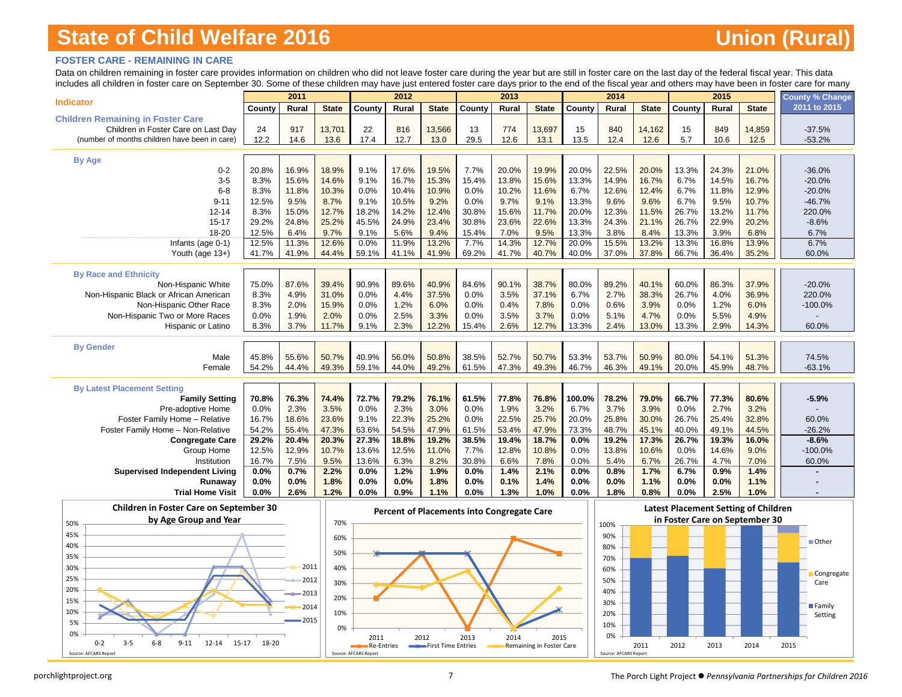### **FOSTER CARE - REMAINING IN CARE**

Data on children remaining in foster care provides information on children who did not leave foster care during the year but are still in foster care on the last day of the federal fiscal year. This data includes all children in foster care on September 30. Some of these children may have just entered foster care days prior to the end of the fiscal year and others may have been in foster care for many

|                                               |                | 2011          |               |              | 2012          |               |               | 2013          |               |                | 2014          |               |                | 2015          |               | <b>County % Change</b> |
|-----------------------------------------------|----------------|---------------|---------------|--------------|---------------|---------------|---------------|---------------|---------------|----------------|---------------|---------------|----------------|---------------|---------------|------------------------|
| <b>Indicator</b>                              | County         | Rural         | <b>State</b>  | County       | Rural         | <b>State</b>  | County        | Rural         | <b>State</b>  | County         | Rural         | <b>State</b>  | County         | Rural         | <b>State</b>  | 2011 to 2015           |
| <b>Children Remaining in Foster Care</b>      |                |               |               |              |               |               |               |               |               |                |               |               |                |               |               |                        |
| Children in Foster Care on Last Day           | 24             | 917           | 13,701        | 22           | 816           | 13,566        | 13            | 774           | 13,697        | 15             | 840           | 14,162        | 15             | 849           | 14,859        | $-37.5%$               |
| (number of months children have been in care) | 12.2           | 14.6          | 13.6          | 17.4         | 12.7          | 13.0          | 29.5          | 12.6          | 13.1          | 13.5           | 12.4          | 12.6          | 5.7            | 10.6          | 12.5          | $-53.2%$               |
|                                               |                |               |               |              |               |               |               |               |               |                |               |               |                |               |               |                        |
| <b>By Age</b>                                 |                |               |               |              |               |               |               |               |               |                |               |               |                |               |               |                        |
| $0 - 2$<br>$3 - 5$                            | 20.8%          | 16.9%         | 18.9%         | 9.1%         | 17.6%         | 19.5%         | 7.7%          | 20.0%         | 19.9%         | 20.0%          | 22.5%         | 20.0%         | 13.3%          | 24.3%         | 21.0%         | $-36.0%$               |
|                                               | 8.3%           | 15.6%         | 14.6%         | 9.1%         | 16.7%         | 15.3%         | 15.4%         | 13.8%         | 15.6%         | 13.3%          | 14.9%         | 16.7%         | 6.7%           | 14.5%         | 16.7%         | $-20.0%$               |
| $6 - 8$<br>$9 - 11$                           | 8.3%           | 11.8%<br>9.5% | 10.3%         | 0.0%         | 10.4%         | 10.9%         | 0.0%          | 10.2%<br>9.7% | 11.6%         | 6.7%           | 12.6%<br>9.6% | 12.4%         | 6.7%           | 11.8%         | 12.9%         | $-20.0%$               |
|                                               | 12.5%          |               | 8.7%          | 9.1%         | 10.5%         | 9.2%          | 0.0%          |               | 9.1%          | 13.3%          |               | 9.6%          | 6.7%           | 9.5%          | 10.7%         | $-46.7%$               |
| $12 - 14$                                     | 8.3%           | 15.0%         | 12.7%         | 18.2%        | 14.2%         | 12.4%         | 30.8%         | 15.6%         | 11.7%         | 20.0%          | 12.3%         | 11.5%         | 26.7%          | 13.2%         | 11.7%         | 220.0%                 |
| $15 - 17$<br>18-20                            | 29.2%          | 24.8%         | 25.2%         | 45.5%        | 24.9%         | 23.4%         | 30.8%         | 23.6%         | 22.6%         | 13.3%          | 24.3%         | 21.1%         | 26.7%          | 22.9%         | 20.2%         | $-8.6%$                |
|                                               | 12.5%<br>12.5% | 6.4%<br>11.3% | 9.7%<br>12.6% | 9.1%<br>0.0% | 5.6%<br>11.9% | 9.4%<br>13.2% | 15.4%<br>7.7% | 7.0%<br>14.3% | 9.5%<br>12.7% | 13.3%<br>20.0% | 3.8%<br>15.5% | 8.4%<br>13.2% | 13.3%<br>13.3% | 3.9%<br>16.8% | 6.8%<br>13.9% | 6.7%<br>6.7%           |
| Infants (age 0-1)                             | 41.7%          | 41.9%         | 44.4%         | 59.1%        | 41.1%         | 41.9%         | 69.2%         | 41.7%         | 40.7%         | 40.0%          | 37.0%         | 37.8%         | 66.7%          | 36.4%         |               | 60.0%                  |
| Youth (age 13+)                               |                |               |               |              |               |               |               |               |               |                |               |               |                |               | 35.2%         |                        |
| <b>By Race and Ethnicity</b>                  |                |               |               |              |               |               |               |               |               |                |               |               |                |               |               |                        |
| Non-Hispanic White                            | 75.0%          | 87.6%         | 39.4%         | 90.9%        | 89.6%         | 40.9%         | 84.6%         | 90.1%         | 38.7%         | 80.0%          | 89.2%         | 40.1%         | 60.0%          | 86.3%         | 37.9%         | $-20.0%$               |
| Non-Hispanic Black or African American        | 8.3%           | 4.9%          | 31.0%         | 0.0%         | 4.4%          | 37.5%         | 0.0%          | 3.5%          | 37.1%         | 6.7%           | 2.7%          | 38.3%         | 26.7%          | 4.0%          | 36.9%         | 220.0%                 |
| Non-Hispanic Other Race                       | 8.3%           | 2.0%          | 15.9%         | 0.0%         | 1.2%          | 6.0%          | 0.0%          | 0.4%          | 7.8%          | 0.0%           | 0.6%          | 3.9%          | 0.0%           | 1.2%          | 6.0%          | $-100.0%$              |
| Non-Hispanic Two or More Races                | 0.0%           | 1.9%          | 2.0%          | 0.0%         | 2.5%          | 3.3%          | 0.0%          | 3.5%          | 3.7%          | 0.0%           | 5.1%          | 4.7%          | 0.0%           | 5.5%          | 4.9%          |                        |
| Hispanic or Latino                            | 8.3%           | 3.7%          | 11.7%         | 9.1%         | 2.3%          | 12.2%         | 15.4%         | 2.6%          | 12.7%         | 13.3%          | 2.4%          | 13.0%         | 13.3%          | 2.9%          | 14.3%         | 60.0%                  |
|                                               |                |               |               |              |               |               |               |               |               |                |               |               |                |               |               |                        |
| <b>By Gender</b>                              |                |               |               |              |               |               |               |               |               |                |               |               |                |               |               |                        |
| Male                                          | 45.8%          | 55.6%         | 50.7%         | 40.9%        | 56.0%         | 50.8%         | 38.5%         | 52.7%         | 50.7%         | 53.3%          | 53.7%         | 50.9%         | 80.0%          | 54.1%         | 51.3%         | 74.5%                  |
| Female                                        | 54.2%          | 44.4%         | 49.3%         | 59.1%        | 44.0%         | 49.2%         | 61.5%         | 47.3%         | 49.3%         | 46.7%          | 46.3%         | 49.1%         | 20.0%          | 45.9%         | 48.7%         | $-63.1%$               |
|                                               |                |               |               |              |               |               |               |               |               |                |               |               |                |               |               |                        |
| <b>By Latest Placement Setting</b>            |                |               |               |              |               |               |               |               |               |                |               |               |                |               |               |                        |
| <b>Family Setting</b>                         | 70.8%          | 76.3%         | 74.4%         | 72.7%        | 79.2%         | 76.1%         | 61.5%         | 77.8%         | 76.8%         | 100.0%         | 78.2%         | 79.0%         | 66.7%          | 77.3%         | 80.6%         | $-5.9%$                |
| Pre-adoptive Home                             | 0.0%           | 2.3%          | 3.5%          | 0.0%         | 2.3%          | 3.0%          | 0.0%          | 1.9%          | 3.2%          | 6.7%           | 3.7%          | 3.9%          | 0.0%           | 2.7%          | 3.2%          |                        |
| Foster Family Home - Relative                 | 16.7%          | 18.6%         | 23.6%         | 9.1%         | 22.3%         | 25.2%         | 0.0%          | 22.5%         | 25.7%         | 20.0%          | 25.8%         | 30.0%         | 26.7%          | 25.4%         | 32.8%         | 60.0%                  |
| Foster Family Home - Non-Relative             | 54.2%          | 55.4%         | 47.3%         | 63.6%        | 54.5%         | 47.9%         | 61.5%         | 53.4%         | 47.9%         | 73.3%          | 48.7%         | 45.1%         | 40.0%          | 49.1%         | 44.5%         | $-26.2%$               |
| <b>Congregate Care</b>                        | 29.2%          | 20.4%         | 20.3%         | 27.3%        | 18.8%         | 19.2%         | 38.5%         | 19.4%         | 18.7%         | 0.0%           | 19.2%         | 17.3%         | 26.7%          | 19.3%         | 16.0%         | $-8.6%$                |
| Group Home                                    | 12.5%          | 12.9%         | 10.7%         | 13.6%        | 12.5%         | 11.0%         | 7.7%          | 12.8%         | 10.8%         | 0.0%           | 13.8%         | 10.6%         | 0.0%           | 14.6%         | 9.0%          | $-100.0%$              |
| Institution                                   | 16.7%          | 7.5%          | 9.5%          | 13.6%        | 6.3%          | 8.2%          | 30.8%         | 6.6%          | 7.8%          | 0.0%           | 5.4%          | 6.7%          | 26.7%          | 4.7%          | 7.0%          | 60.0%                  |
| <b>Supervised Independent Living</b>          | 0.0%           | 0.7%          | 2.2%          | 0.0%         | 1.2%          | 1.9%          | 0.0%          | 1.4%          | 2.1%          | 0.0%           | 0.8%          | 1.7%          | 6.7%           | 0.9%          | 1.4%          |                        |
| Runaway                                       | 0.0%           | 0.0%          | 1.8%          | 0.0%         | 0.0%          | 1.8%          | 0.0%          | 0.1%          | 1.4%          | 0.0%           | 0.0%          | 1.1%          | 0.0%           | 0.0%          | 1.1%          |                        |
| <b>Trial Home Visit</b>                       | 0.0%           | 2.6%          | 1.2%          | 0.0%         | 0.9%          | 1.1%          | 0.0%          | 1.3%          | 1.0%          | 0.0%           | 1.8%          | 0.8%          | 0.0%           | 2.5%          | 1.0%          |                        |
| .                                             |                |               |               |              |               |               |               |               |               |                |               |               |                |               |               |                        |